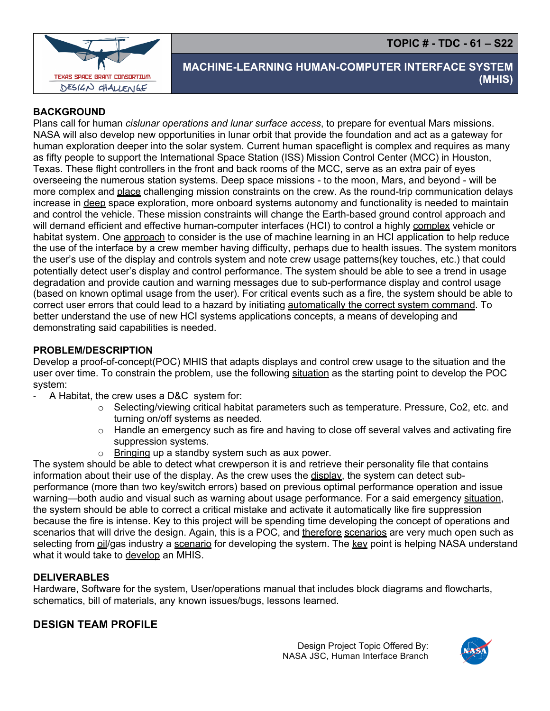**TOPIC # - TDC - 61 – S22**



# **MACHINE-LEARNING HUMAN-COMPUTER INTERFACE SYSTEM (MHIS)**

#### **BACKGROUND**

Plans call for human *cislunar operations and lunar surface access*, to prepare for eventual Mars missions. NASA will also develop new opportunities in lunar orbit that provide the foundation and act as a gateway for human exploration deeper into the solar system. Current human spaceflight is complex and requires as many as fifty people to support the International Space Station (ISS) Mission Control Center (MCC) in Houston, Texas. These flight controllers in the front and back rooms of the MCC, serve as an extra pair of eyes overseeing the numerous station systems. Deep space missions - to the moon, Mars, and beyond - will be more complex and place challenging mission constraints on the crew. As the round-trip communication delays increase in deep space exploration, more onboard systems autonomy and functionality is needed to maintain and control the vehicle. These mission constraints will change the Earth-based ground control approach and will demand efficient and effective human-computer interfaces (HCI) to control a highly complex vehicle or habitat system. One approach to consider is the use of machine learning in an HCI application to help reduce the use of the interface by a crew member having difficulty, perhaps due to health issues. The system monitors the user's use of the display and controls system and note crew usage patterns(key touches, etc.) that could potentially detect user's display and control performance. The system should be able to see a trend in usage degradation and provide caution and warning messages due to sub-performance display and control usage (based on known optimal usage from the user). For critical events such as a fire, the system should be able to correct user errors that could lead to a hazard by initiating automatically the correct system command. To better understand the use of new HCI systems applications concepts, a means of developing and demonstrating said capabilities is needed.

#### **PROBLEM/DESCRIPTION**

Develop a proof-of-concept(POC) MHIS that adapts displays and control crew usage to the situation and the user over time. To constrain the problem, use the following situation as the starting point to develop the POC system:

- A Habitat, the crew uses a D&C system for:
	- o Selecting/viewing critical habitat parameters such as temperature. Pressure, Co2, etc. and turning on/off systems as needed.
	- $\circ$  Handle an emergency such as fire and having to close off several valves and activating fire suppression systems.
	- $\circ$  Bringing up a standby system such as aux power.

The system should be able to detect what crewperson it is and retrieve their personality file that contains information about their use of the display. As the crew uses the display, the system can detect subperformance (more than two key/switch errors) based on previous optimal performance operation and issue warning—both audio and visual such as warning about usage performance. For a said emergency situation, the system should be able to correct a critical mistake and activate it automatically like fire suppression because the fire is intense. Key to this project will be spending time developing the concept of operations and scenarios that will drive the design. Again, this is a POC, and therefore scenarios are very much open such as selecting from oil/gas industry a scenario for developing the system. The key point is helping NASA understand what it would take to develop an MHIS.

#### **DELIVERABLES**

Hardware, Software for the system, User/operations manual that includes block diagrams and flowcharts, schematics, bill of materials, any known issues/bugs, lessons learned.

### **DESIGN TEAM PROFILE**